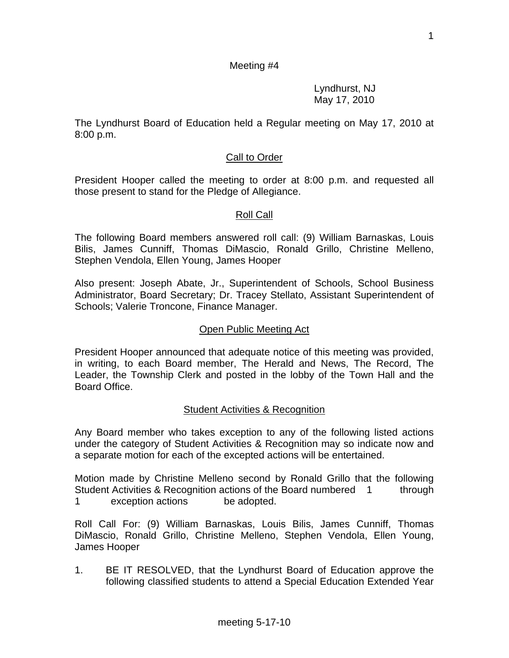### Meeting #4

 Lyndhurst, NJ May 17, 2010

The Lyndhurst Board of Education held a Regular meeting on May 17, 2010 at 8:00 p.m.

### Call to Order

President Hooper called the meeting to order at 8:00 p.m. and requested all those present to stand for the Pledge of Allegiance.

#### Roll Call

The following Board members answered roll call: (9) William Barnaskas, Louis Bilis, James Cunniff, Thomas DiMascio, Ronald Grillo, Christine Melleno, Stephen Vendola, Ellen Young, James Hooper

Also present: Joseph Abate, Jr., Superintendent of Schools, School Business Administrator, Board Secretary; Dr. Tracey Stellato, Assistant Superintendent of Schools; Valerie Troncone, Finance Manager.

#### Open Public Meeting Act

President Hooper announced that adequate notice of this meeting was provided, in writing, to each Board member, The Herald and News, The Record, The Leader, the Township Clerk and posted in the lobby of the Town Hall and the Board Office.

#### Student Activities & Recognition

Any Board member who takes exception to any of the following listed actions under the category of Student Activities & Recognition may so indicate now and a separate motion for each of the excepted actions will be entertained.

Motion made by Christine Melleno second by Ronald Grillo that the following Student Activities & Recognition actions of the Board numbered 1 through 1 exception actions be adopted.

Roll Call For: (9) William Barnaskas, Louis Bilis, James Cunniff, Thomas DiMascio, Ronald Grillo, Christine Melleno, Stephen Vendola, Ellen Young, James Hooper

1. BE IT RESOLVED, that the Lyndhurst Board of Education approve the following classified students to attend a Special Education Extended Year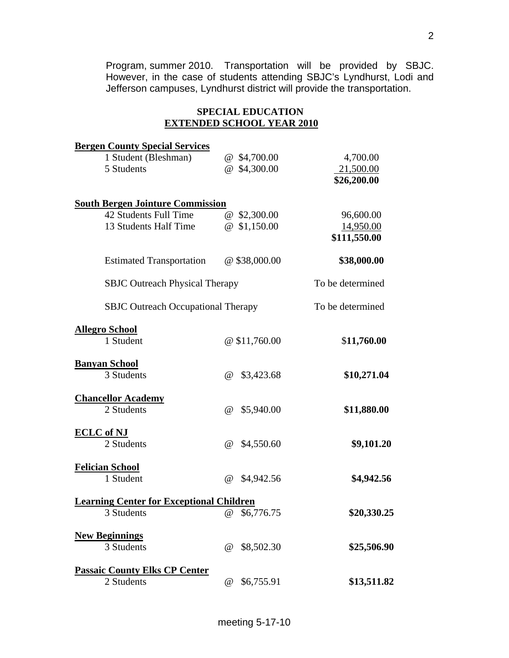Program, summer 2010. Transportation will be provided by SBJC. However, in the case of students attending SBJC's Lyndhurst, Lodi and Jefferson campuses, Lyndhurst district will provide the transportation.

# **SPECIAL EDUCATION EXTENDED SCHOOL YEAR 2010**

| <b>Bergen County Special Services</b>           |                        |                  |
|-------------------------------------------------|------------------------|------------------|
| 1 Student (Bleshman)                            | @ \$4,700.00           | 4,700.00         |
| 5 Students                                      | @ \$4,300.00           | 21,500.00        |
|                                                 |                        | \$26,200.00      |
| <b>South Bergen Jointure Commission</b>         |                        |                  |
| 42 Students Full Time                           | @ \$2,300.00           | 96,600.00        |
| 13 Students Half Time                           | $@$ \$1,150.00         | 14,950.00        |
|                                                 |                        | \$111,550.00     |
| <b>Estimated Transportation</b>                 | $@$ \$38,000.00        | \$38,000.00      |
| <b>SBJC Outreach Physical Therapy</b>           |                        | To be determined |
| <b>SBJC</b> Outreach Occupational Therapy       |                        | To be determined |
| <b>Allegro School</b>                           |                        |                  |
| 1 Student                                       | @\$11,760.00           | \$11,760.00      |
| <b>Banyan School</b>                            |                        |                  |
| 3 Students                                      | @<br>\$3,423.68        | \$10,271.04      |
| <b>Chancellor Academy</b>                       |                        |                  |
| 2 Students                                      | $\omega$<br>\$5,940.00 | \$11,880.00      |
| <b>ECLC</b> of NJ                               |                        |                  |
| 2 Students                                      | \$4,550.60<br>@        | \$9,101.20       |
| <b>Felician School</b>                          |                        |                  |
| 1 Student                                       | $\omega$<br>\$4,942.56 | \$4,942.56       |
| <b>Learning Center for Exceptional Children</b> |                        |                  |
| 3 Students                                      | @ \$6,776.75           | \$20,330.25      |
| <b>New Beginnings</b>                           |                        |                  |
| 3 Students                                      | \$8,502.30<br>$\omega$ | \$25,506.90      |
| <b>Passaic County Elks CP Center</b>            |                        |                  |
| 2 Students                                      | \$6,755.91<br>$\omega$ | \$13,511.82      |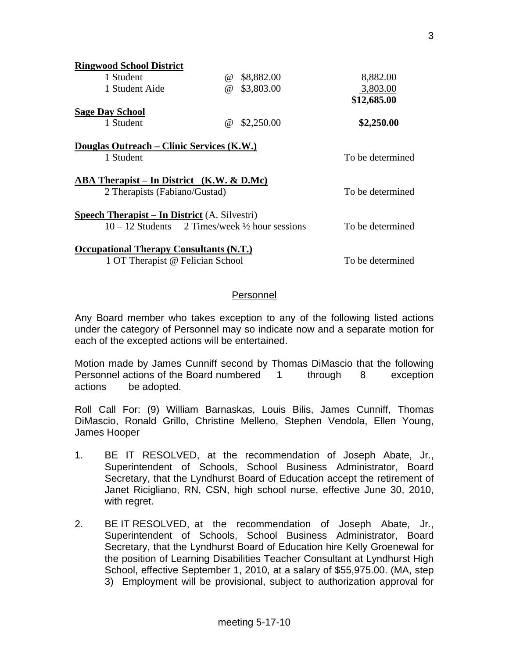| <b>Ringwood School District</b>                             |          |            |                  |
|-------------------------------------------------------------|----------|------------|------------------|
| 1 Student                                                   | $\omega$ | \$8,882.00 | 8,882.00         |
| 1 Student Aide                                              | $\omega$ | \$3,803.00 | 3,803.00         |
|                                                             |          |            | \$12,685.00      |
| <b>Sage Day School</b>                                      |          |            |                  |
| 1 Student                                                   | $\omega$ | \$2,250.00 | \$2,250.00       |
|                                                             |          |            |                  |
| Douglas Outreach – Clinic Services (K.W.)                   |          |            |                  |
| 1 Student                                                   |          |            | To be determined |
|                                                             |          |            |                  |
| ABA Therapist – In District $(K.W. & D.Mc)$                 |          |            |                  |
| 2 Therapists (Fabiano/Gustad)                               |          |            | To be determined |
|                                                             |          |            |                  |
| <b>Speech Therapist – In District</b> (A. Silvestri)        |          |            |                  |
| $10 - 12$ Students 2 Times/week $\frac{1}{2}$ hour sessions |          |            | To be determined |
|                                                             |          |            |                  |
| <b>Occupational Therapy Consultants (N.T.)</b>              |          |            |                  |
| 1 OT Therapist @ Felician School                            |          |            | To be determined |

### Personnel

Any Board member who takes exception to any of the following listed actions under the category of Personnel may so indicate now and a separate motion for each of the excepted actions will be entertained.

Motion made by James Cunniff second by Thomas DiMascio that the following Personnel actions of the Board numbered 1 through 8 exception actions be adopted.

Roll Call For: (9) William Barnaskas, Louis Bilis, James Cunniff, Thomas DiMascio, Ronald Grillo, Christine Melleno, Stephen Vendola, Ellen Young, James Hooper

- 1. BE IT RESOLVED, at the recommendation of Joseph Abate, Jr., Superintendent of Schools, School Business Administrator, Board Secretary, that the Lyndhurst Board of Education accept the retirement of Janet Ricigliano, RN, CSN, high school nurse, effective June 30, 2010, with regret.
- 2. BE IT RESOLVED, at the recommendation of Joseph Abate, Jr., Superintendent of Schools, School Business Administrator, Board Secretary, that the Lyndhurst Board of Education hire Kelly Groenewal for the position of Learning Disabilities Teacher Consultant at Lyndhurst High School, effective September 1, 2010, at a salary of \$55,975.00. (MA, step 3) Employment will be provisional, subject to authorization approval for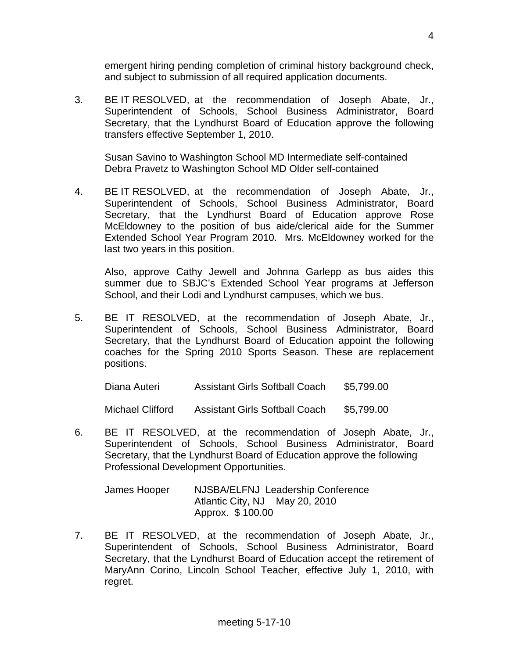emergent hiring pending completion of criminal history background check, and subject to submission of all required application documents.

3. BE IT RESOLVED, at the recommendation of Joseph Abate, Jr., Superintendent of Schools, School Business Administrator, Board Secretary, that the Lyndhurst Board of Education approve the following transfers effective September 1, 2010.

 Susan Savino to Washington School MD Intermediate self-contained Debra Pravetz to Washington School MD Older self-contained

4. BE IT RESOLVED, at the recommendation of Joseph Abate, Jr., Superintendent of Schools, School Business Administrator, Board Secretary, that the Lyndhurst Board of Education approve Rose McEldowney to the position of bus aide/clerical aide for the Summer Extended School Year Program 2010. Mrs. McEldowney worked for the last two years in this position.

 Also, approve Cathy Jewell and Johnna Garlepp as bus aides this summer due to SBJC's Extended School Year programs at Jefferson School, and their Lodi and Lyndhurst campuses, which we bus.

5. BE IT RESOLVED, at the recommendation of Joseph Abate, Jr., Superintendent of Schools, School Business Administrator, Board Secretary, that the Lyndhurst Board of Education appoint the following coaches for the Spring 2010 Sports Season. These are replacement positions.

Diana Auteri Assistant Girls Softball Coach \$5,799.00

Michael Clifford Assistant Girls Softball Coach \$5,799.00

6. BE IT RESOLVED, at the recommendation of Joseph Abate, Jr., Superintendent of Schools, School Business Administrator, Board Secretary, that the Lyndhurst Board of Education approve the following Professional Development Opportunities.

| James Hooper | NJSBA/ELFNJ Leadership Conference |
|--------------|-----------------------------------|
|              | Atlantic City, NJ May 20, 2010    |
|              | Approx. \$100.00                  |

7. BE IT RESOLVED, at the recommendation of Joseph Abate, Jr., Superintendent of Schools, School Business Administrator, Board Secretary, that the Lyndhurst Board of Education accept the retirement of MaryAnn Corino, Lincoln School Teacher, effective July 1, 2010, with regret.